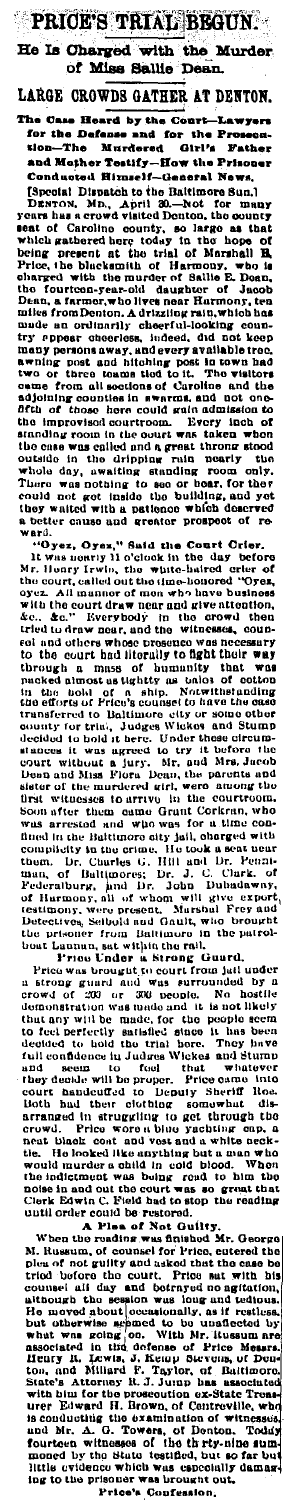PRICE'S TRIAL BEGUN. He Is Charged with the Murder of Miss Sallie De ıп.

LARGE CROWDS GATHER AT DENTON.

he Case Heard by the Co The C Court ww. the Pi fanse anw --<br>- Murdered - Girl's - Favww<br>- Tastify--How the Prisoner roseus.<br>Father ..<br>-The tion and Mather Testify Conducted Himself-General News,

and Mother Testify-How the Princes<br>
Conducted Himself-Cenesral News,<br>
Conducted Himself-Clenesral News,<br>
DENTON, Mh., April 30.-Not for many<br>parts has a crowd visited Donton, the ountry<br>
DENTON, Mh., April 30.-Not for man

a better cause and greater present of the Constant of the Constant of the Constant of the Constant of the Constant of the Constant of the Constant of the Constant of the Constant of the Constant of the Constant of the Cons to the court had interality to fight their way<br>noweled through a mass of bununtity that was<br>nucleaded about a contour sight through a mass of bununtity that was<br>in the book of contour and Social and Social interality and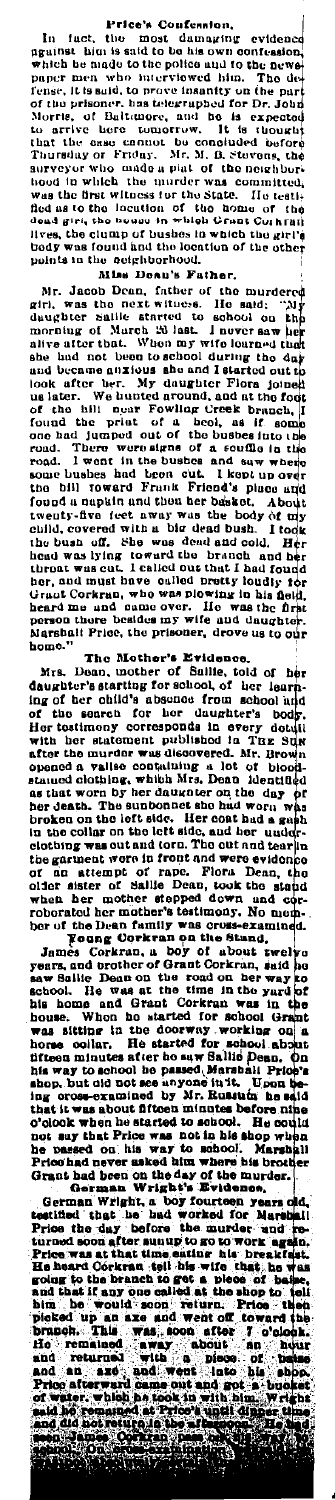Price's Confession,<br>In fact, the most damaging evidence<br>ngainst him is said to be his own confession readed to the place of the place of the property and the property which be more than proper men who interviewed him. The dependent of the property of the property of the property of the property of the property of the prop

Miss Deau's Father. not be considered to the parties of the murdered during rive as the next witness. He said: "My morning of March consideration and morning of March 20 last L never saw her allows atter that. Who may wife loaned that the hea morrouge of actual can be also that in the state and the high that the high that and the band of the main and because and because and because and because and because and the more and because the look after the . We have fo

person there were the British and the person that a share in the Mother's Evidence.<br>
Mrs. Dean, mother of Sulife, told of her learn-<br>
abone." It also the Mother's Evidence.<br>
Also Read the Mother's starting for school, of h

in the collar on the left side, and her under-<br>the garment were in front and the collar on the orient of range and and the signment were in front and were evidence<br>of an attempt of range . Flora Denn, took the stand when